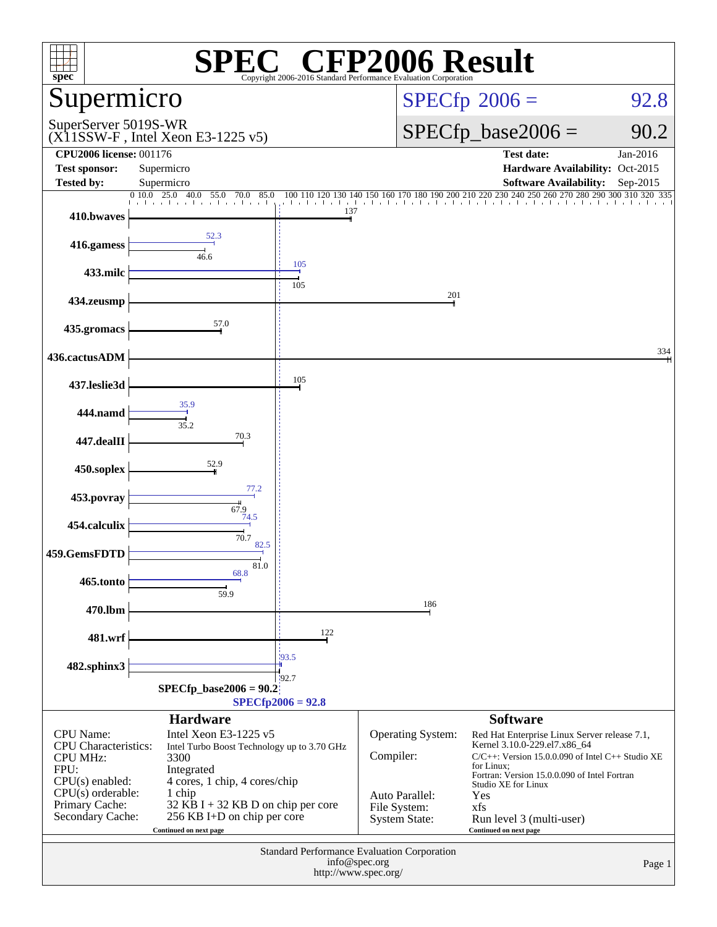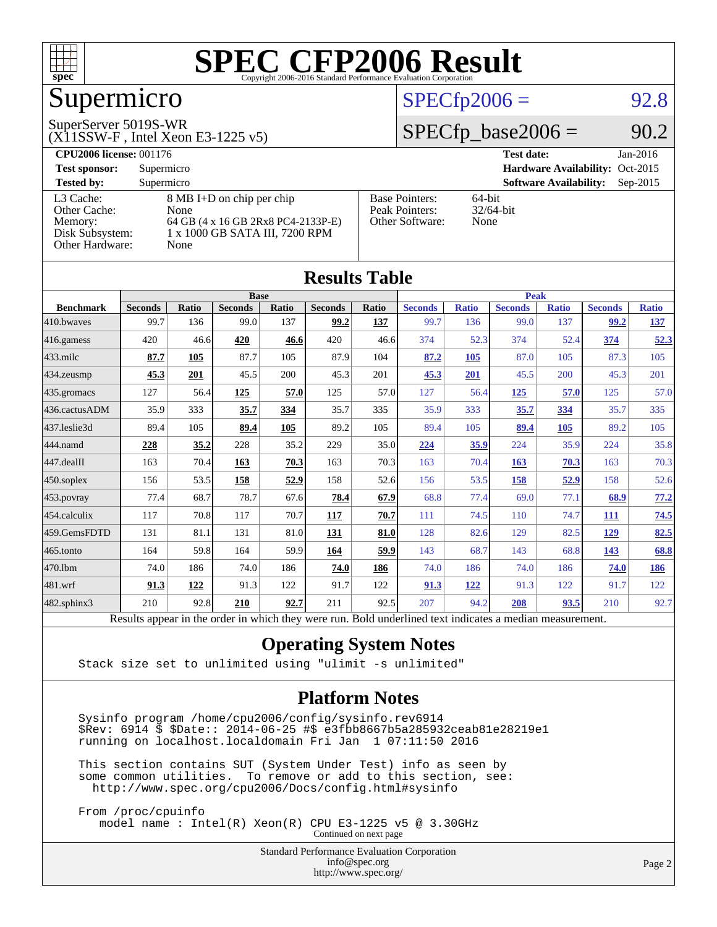

## Supermicro

#### SuperServer 5019S-WR

(X11SSW-F , Intel Xeon E3-1225 v5)

#### $SPECTp2006 = 92.8$

#### $SPECfp\_base2006 = 90.2$

| <b>CPU2006 license: 001176</b> |                                    |                       | <b>Test date:</b><br>$Jan-2016$             |
|--------------------------------|------------------------------------|-----------------------|---------------------------------------------|
| <b>Test sponsor:</b>           | Supermicro                         |                       | Hardware Availability: Oct-2015             |
| <b>Tested by:</b>              | Supermicro                         |                       | <b>Software Availability:</b><br>$Sep-2015$ |
| L3 Cache:                      | 8 MB I+D on chip per chip          | <b>Base Pointers:</b> | $64$ -bit                                   |
| Other Cache:                   | None                               | Peak Pointers:        | $32/64$ -bit                                |
| Memory:                        | 64 GB (4 x 16 GB 2Rx8 PC4-2133P-E) | Other Software:       | None                                        |
| Disk Subsystem:                | 1 x 1000 GB SATA III, 7200 RPM     |                       |                                             |
| <b>Other Hardware:</b>         | None                               |                       |                                             |

| <b>Results Table</b> |                                                                                                          |              |                |       |                |       |                |              |                |              |                |              |
|----------------------|----------------------------------------------------------------------------------------------------------|--------------|----------------|-------|----------------|-------|----------------|--------------|----------------|--------------|----------------|--------------|
|                      |                                                                                                          |              | <b>Base</b>    |       |                |       |                |              | <b>Peak</b>    |              |                |              |
| <b>Benchmark</b>     | <b>Seconds</b>                                                                                           | <b>Ratio</b> | <b>Seconds</b> | Ratio | <b>Seconds</b> | Ratio | <b>Seconds</b> | <b>Ratio</b> | <b>Seconds</b> | <b>Ratio</b> | <b>Seconds</b> | <b>Ratio</b> |
| 410.bwayes           | 99.7                                                                                                     | 136          | 99.0           | 137   | 99.2           | 137   | 99.7           | 136          | 99.0           | 137          | 99.2           | 137          |
| 416.gamess           | 420                                                                                                      | 46.6         | 420            | 46.6  | 420            | 46.6  | 374            | 52.3         | 374            | 52.4         | 374            | 52.3         |
| $433$ .milc          | 87.7                                                                                                     | 105          | 87.7           | 105   | 87.9           | 104   | 87.2           | 105          | 87.0           | 105          | 87.3           | 105          |
| $434$ . zeusmp       | 45.3                                                                                                     | 201          | 45.5           | 200   | 45.3           | 201   | 45.3           | 201          | 45.5           | 200          | 45.3           | 201          |
| 435.gromacs          | 127                                                                                                      | 56.4         | 125            | 57.0  | 125            | 57.0  | 127            | 56.4         | 125            | 57.0         | 125            | 57.0         |
| 436.cactusADM        | 35.9                                                                                                     | 333          | 35.7           | 334   | 35.7           | 335   | 35.9           | 333          | 35.7           | 334          | 35.7           | 335          |
| 437.leslie3d         | 89.4                                                                                                     | 105          | 89.4           | 105   | 89.2           | 105   | 89.4           | 105          | 89.4           | 105          | 89.2           | 105          |
| 444.namd             | 228                                                                                                      | 35.2         | 228            | 35.2  | 229            | 35.0  | 224            | 35.9         | 224            | 35.9         | 224            | 35.8         |
| $447$ .dealII        | 163                                                                                                      | 70.4         | 163            | 70.3  | 163            | 70.3  | 163            | 70.4         | 163            | 70.3         | 163            | 70.3         |
| $450$ .soplex        | 156                                                                                                      | 53.5         | 158            | 52.9  | 158            | 52.6  | 156            | 53.5         | 158            | 52.9         | 158            | 52.6         |
| $453$ .povray        | 77.4                                                                                                     | 68.7         | 78.7           | 67.6  | 78.4           | 67.9  | 68.8           | 77.4         | 69.0           | 77.1         | 68.9           | 77.2         |
| 454.calculix         | 117                                                                                                      | 70.8         | 117            | 70.7  | 117            | 70.7  | 111            | 74.5         | 110            | 74.7         | 111            | 74.5         |
| 459.GemsFDTD         | 131                                                                                                      | 81.1         | 131            | 81.0  | 131            | 81.0  | 128            | 82.6         | 129            | 82.5         | 129            | 82.5         |
| $465$ .tonto         | 164                                                                                                      | 59.8         | 164            | 59.9  | 164            | 59.9  | 143            | 68.7         | 143            | 68.8         | 143            | 68.8         |
| 470.1bm              | 74.0                                                                                                     | 186          | 74.0           | 186   | 74.0           | 186   | 74.0           | 186          | 74.0           | 186          | 74.0           | 186          |
| 481.wrf              | 91.3                                                                                                     | 122          | 91.3           | 122   | 91.7           | 122   | 91.3           | 122          | 91.3           | 122          | 91.7           | 122          |
| $482$ .sphinx $3$    | 210                                                                                                      | 92.8         | 210            | 92.7  | 211            | 92.5  | 207            | 94.2         | 208            | 93.5         | 210            | 92.7         |
|                      | Results appear in the order in which they were run. Bold underlined text indicates a median measurement. |              |                |       |                |       |                |              |                |              |                |              |

#### **[Operating System Notes](http://www.spec.org/auto/cpu2006/Docs/result-fields.html#OperatingSystemNotes)**

Stack size set to unlimited using "ulimit -s unlimited"

#### **[Platform Notes](http://www.spec.org/auto/cpu2006/Docs/result-fields.html#PlatformNotes)**

 Sysinfo program /home/cpu2006/config/sysinfo.rev6914 \$Rev: 6914 \$ \$Date:: 2014-06-25 #\$ e3fbb8667b5a285932ceab81e28219e1 running on localhost.localdomain Fri Jan 1 07:11:50 2016

 This section contains SUT (System Under Test) info as seen by some common utilities. To remove or add to this section, see: <http://www.spec.org/cpu2006/Docs/config.html#sysinfo>

 From /proc/cpuinfo model name : Intel(R) Xeon(R) CPU E3-1225 v5 @ 3.30GHz Continued on next page

> Standard Performance Evaluation Corporation [info@spec.org](mailto:info@spec.org) <http://www.spec.org/>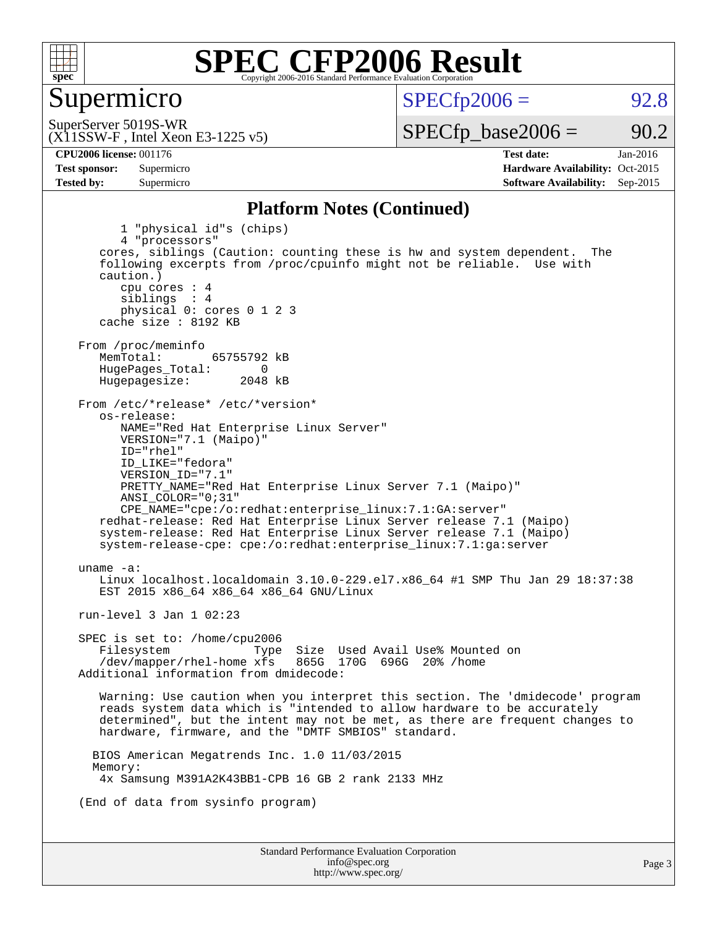

#### Supermicro

 $SPECTp2006 = 92.8$ 

(X11SSW-F , Intel Xeon E3-1225 v5) SuperServer 5019S-WR

 $SPECTp\_base2006 = 90.2$ 

**[CPU2006 license:](http://www.spec.org/auto/cpu2006/Docs/result-fields.html#CPU2006license)** 001176 **[Test date:](http://www.spec.org/auto/cpu2006/Docs/result-fields.html#Testdate)** Jan-2016 **[Test sponsor:](http://www.spec.org/auto/cpu2006/Docs/result-fields.html#Testsponsor)** Supermicro Supermicro **[Hardware Availability:](http://www.spec.org/auto/cpu2006/Docs/result-fields.html#HardwareAvailability)** Oct-2015 **[Tested by:](http://www.spec.org/auto/cpu2006/Docs/result-fields.html#Testedby)** Supermicro **Supermicro [Software Availability:](http://www.spec.org/auto/cpu2006/Docs/result-fields.html#SoftwareAvailability)** Sep-2015

#### **[Platform Notes \(Continued\)](http://www.spec.org/auto/cpu2006/Docs/result-fields.html#PlatformNotes)**

Standard Performance Evaluation Corporation [info@spec.org](mailto:info@spec.org) 1 "physical id"s (chips) 4 "processors" cores, siblings (Caution: counting these is hw and system dependent. The following excerpts from /proc/cpuinfo might not be reliable. Use with caution.) cpu cores : 4 siblings : 4 physical 0: cores 0 1 2 3 cache size : 8192 KB From /proc/meminfo<br>MemTotal: 65755792 kB HugePages\_Total: 0<br>Hugepagesize: 2048 kB Hugepagesize: From /etc/\*release\* /etc/\*version\* os-release: NAME="Red Hat Enterprise Linux Server" VERSION="7.1 (Maipo)" ID="rhel" ID\_LIKE="fedora" VERSION\_ID="7.1" PRETTY\_NAME="Red Hat Enterprise Linux Server 7.1 (Maipo)" ANSI\_COLOR="0;31" CPE\_NAME="cpe:/o:redhat:enterprise\_linux:7.1:GA:server" redhat-release: Red Hat Enterprise Linux Server release 7.1 (Maipo) system-release: Red Hat Enterprise Linux Server release 7.1 (Maipo) system-release-cpe: cpe:/o:redhat:enterprise\_linux:7.1:ga:server uname -a: Linux localhost.localdomain 3.10.0-229.el7.x86\_64 #1 SMP Thu Jan 29 18:37:38 EST 2015 x86\_64 x86\_64 x86\_64 GNU/Linux run-level 3 Jan 1 02:23 SPEC is set to: /home/cpu2006 Filesystem Type Size Used Avail Use% Mounted on<br>/dev/mapper/rhel-home xfs 865G 170G 696G 20% /home  $/$ dev/mapper/rhel-home  $x$ fs Additional information from dmidecode: Warning: Use caution when you interpret this section. The 'dmidecode' program reads system data which is "intended to allow hardware to be accurately determined", but the intent may not be met, as there are frequent changes to hardware, firmware, and the "DMTF SMBIOS" standard. BIOS American Megatrends Inc. 1.0 11/03/2015 Memory: 4x Samsung M391A2K43BB1-CPB 16 GB 2 rank 2133 MHz (End of data from sysinfo program)

<http://www.spec.org/>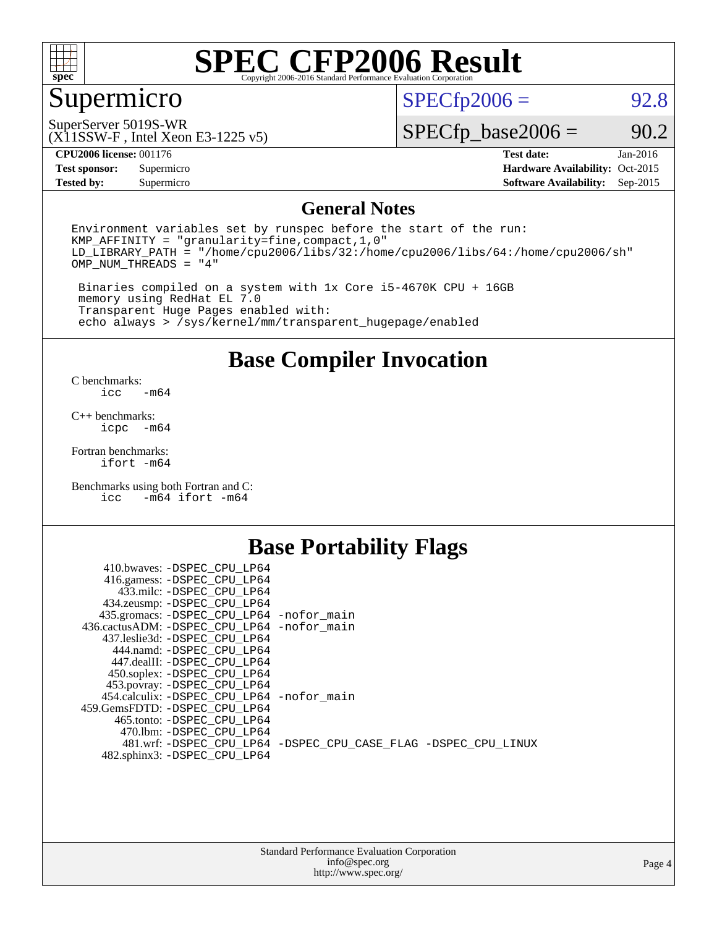

### Supermicro

 $SPECTp2006 = 92.8$ 

SuperServer 5019S-WR

(X11SSW-F , Intel Xeon E3-1225 v5)

 $SPECfp\_base2006 = 90.2$ 

**[CPU2006 license:](http://www.spec.org/auto/cpu2006/Docs/result-fields.html#CPU2006license)** 001176 **[Test date:](http://www.spec.org/auto/cpu2006/Docs/result-fields.html#Testdate)** Jan-2016

**[Tested by:](http://www.spec.org/auto/cpu2006/Docs/result-fields.html#Testedby)** Supermicro **Supermicro [Software Availability:](http://www.spec.org/auto/cpu2006/Docs/result-fields.html#SoftwareAvailability)** Sep-2015

**[Test sponsor:](http://www.spec.org/auto/cpu2006/Docs/result-fields.html#Testsponsor)** Supermicro Supermicro **[Hardware Availability:](http://www.spec.org/auto/cpu2006/Docs/result-fields.html#HardwareAvailability)** Oct-2015

#### **[General Notes](http://www.spec.org/auto/cpu2006/Docs/result-fields.html#GeneralNotes)**

Environment variables set by runspec before the start of the run: KMP\_AFFINITY = "granularity=fine,compact,1,0" LD\_LIBRARY\_PATH = "/home/cpu2006/libs/32:/home/cpu2006/libs/64:/home/cpu2006/sh" OMP\_NUM\_THREADS = "4"

 Binaries compiled on a system with 1x Core i5-4670K CPU + 16GB memory using RedHat EL 7.0 Transparent Huge Pages enabled with: echo always > /sys/kernel/mm/transparent\_hugepage/enabled

#### **[Base Compiler Invocation](http://www.spec.org/auto/cpu2006/Docs/result-fields.html#BaseCompilerInvocation)**

[C benchmarks](http://www.spec.org/auto/cpu2006/Docs/result-fields.html#Cbenchmarks):  $-m64$ 

[C++ benchmarks:](http://www.spec.org/auto/cpu2006/Docs/result-fields.html#CXXbenchmarks) [icpc -m64](http://www.spec.org/cpu2006/results/res2016q1/cpu2006-20160106-38572.flags.html#user_CXXbase_intel_icpc_64bit_bedb90c1146cab66620883ef4f41a67e)

[Fortran benchmarks](http://www.spec.org/auto/cpu2006/Docs/result-fields.html#Fortranbenchmarks): [ifort -m64](http://www.spec.org/cpu2006/results/res2016q1/cpu2006-20160106-38572.flags.html#user_FCbase_intel_ifort_64bit_ee9d0fb25645d0210d97eb0527dcc06e)

[Benchmarks using both Fortran and C](http://www.spec.org/auto/cpu2006/Docs/result-fields.html#BenchmarksusingbothFortranandC): [icc -m64](http://www.spec.org/cpu2006/results/res2016q1/cpu2006-20160106-38572.flags.html#user_CC_FCbase_intel_icc_64bit_0b7121f5ab7cfabee23d88897260401c) [ifort -m64](http://www.spec.org/cpu2006/results/res2016q1/cpu2006-20160106-38572.flags.html#user_CC_FCbase_intel_ifort_64bit_ee9d0fb25645d0210d97eb0527dcc06e)

### **[Base Portability Flags](http://www.spec.org/auto/cpu2006/Docs/result-fields.html#BasePortabilityFlags)**

| 410.bwaves: -DSPEC CPU LP64                 |                                                                |
|---------------------------------------------|----------------------------------------------------------------|
| 416.gamess: -DSPEC_CPU_LP64                 |                                                                |
| 433.milc: -DSPEC CPU LP64                   |                                                                |
| 434.zeusmp: -DSPEC_CPU_LP64                 |                                                                |
| 435.gromacs: -DSPEC_CPU_LP64 -nofor_main    |                                                                |
| 436.cactusADM: -DSPEC CPU LP64 -nofor main  |                                                                |
| 437.leslie3d: -DSPEC CPU LP64               |                                                                |
| 444.namd: -DSPEC CPU LP64                   |                                                                |
| 447.dealII: -DSPEC CPU LP64                 |                                                                |
| 450.soplex: -DSPEC_CPU_LP64                 |                                                                |
| 453.povray: -DSPEC_CPU_LP64                 |                                                                |
| 454.calculix: - DSPEC CPU LP64 - nofor main |                                                                |
| 459.GemsFDTD: -DSPEC_CPU_LP64               |                                                                |
| 465.tonto: - DSPEC CPU LP64                 |                                                                |
| 470.1bm: - DSPEC CPU LP64                   |                                                                |
|                                             | 481.wrf: -DSPEC CPU_LP64 -DSPEC_CPU_CASE_FLAG -DSPEC_CPU_LINUX |
| 482.sphinx3: -DSPEC_CPU_LP64                |                                                                |
|                                             |                                                                |

| <b>Standard Performance Evaluation Corporation</b> |
|----------------------------------------------------|
| info@spec.org                                      |
| http://www.spec.org/                               |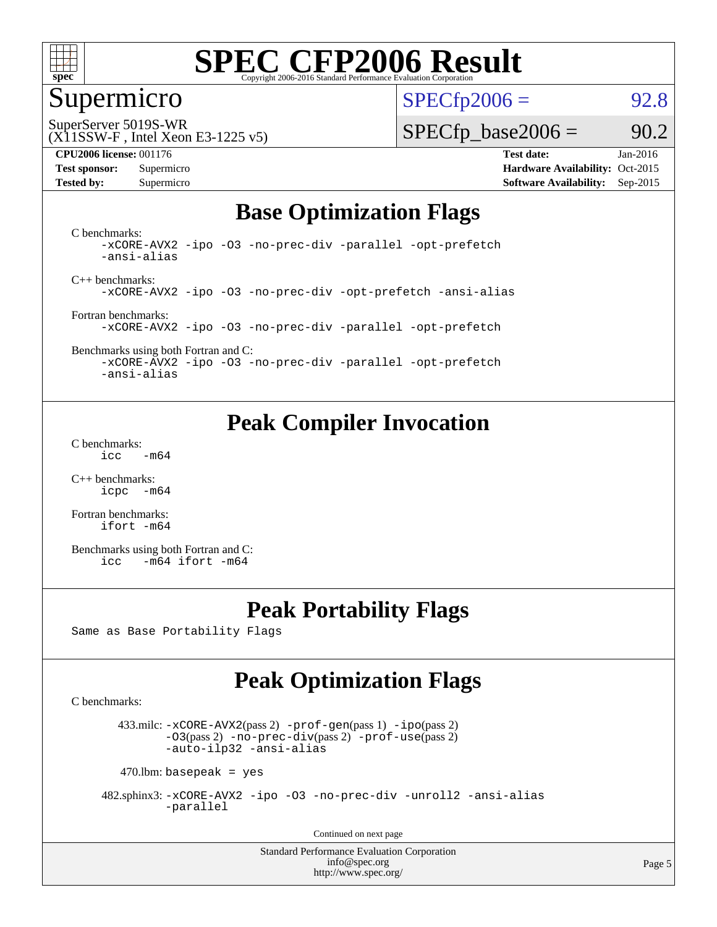

#### Supermicro

 $SPECTp2006 = 92.8$ 

(X11SSW-F , Intel Xeon E3-1225 v5) SuperServer 5019S-WR

#### **[CPU2006 license:](http://www.spec.org/auto/cpu2006/Docs/result-fields.html#CPU2006license)** 001176 **[Test date:](http://www.spec.org/auto/cpu2006/Docs/result-fields.html#Testdate)** Jan-2016

 $SPECTp\_base2006 = 90.2$ 

**[Test sponsor:](http://www.spec.org/auto/cpu2006/Docs/result-fields.html#Testsponsor)** Supermicro Supermicro **[Hardware Availability:](http://www.spec.org/auto/cpu2006/Docs/result-fields.html#HardwareAvailability)** Oct-2015 **[Tested by:](http://www.spec.org/auto/cpu2006/Docs/result-fields.html#Testedby)** Supermicro **Supermicro [Software Availability:](http://www.spec.org/auto/cpu2006/Docs/result-fields.html#SoftwareAvailability)** Sep-2015

### **[Base Optimization Flags](http://www.spec.org/auto/cpu2006/Docs/result-fields.html#BaseOptimizationFlags)**

[C benchmarks](http://www.spec.org/auto/cpu2006/Docs/result-fields.html#Cbenchmarks): [-xCORE-AVX2](http://www.spec.org/cpu2006/results/res2016q1/cpu2006-20160106-38572.flags.html#user_CCbase_f-xAVX2_5f5fc0cbe2c9f62c816d3e45806c70d7) [-ipo](http://www.spec.org/cpu2006/results/res2016q1/cpu2006-20160106-38572.flags.html#user_CCbase_f-ipo) [-O3](http://www.spec.org/cpu2006/results/res2016q1/cpu2006-20160106-38572.flags.html#user_CCbase_f-O3) [-no-prec-div](http://www.spec.org/cpu2006/results/res2016q1/cpu2006-20160106-38572.flags.html#user_CCbase_f-no-prec-div) [-parallel](http://www.spec.org/cpu2006/results/res2016q1/cpu2006-20160106-38572.flags.html#user_CCbase_f-parallel) [-opt-prefetch](http://www.spec.org/cpu2006/results/res2016q1/cpu2006-20160106-38572.flags.html#user_CCbase_f-opt-prefetch) [-ansi-alias](http://www.spec.org/cpu2006/results/res2016q1/cpu2006-20160106-38572.flags.html#user_CCbase_f-ansi-alias)

[C++ benchmarks:](http://www.spec.org/auto/cpu2006/Docs/result-fields.html#CXXbenchmarks) [-xCORE-AVX2](http://www.spec.org/cpu2006/results/res2016q1/cpu2006-20160106-38572.flags.html#user_CXXbase_f-xAVX2_5f5fc0cbe2c9f62c816d3e45806c70d7) [-ipo](http://www.spec.org/cpu2006/results/res2016q1/cpu2006-20160106-38572.flags.html#user_CXXbase_f-ipo) [-O3](http://www.spec.org/cpu2006/results/res2016q1/cpu2006-20160106-38572.flags.html#user_CXXbase_f-O3) [-no-prec-div](http://www.spec.org/cpu2006/results/res2016q1/cpu2006-20160106-38572.flags.html#user_CXXbase_f-no-prec-div) [-opt-prefetch](http://www.spec.org/cpu2006/results/res2016q1/cpu2006-20160106-38572.flags.html#user_CXXbase_f-opt-prefetch) [-ansi-alias](http://www.spec.org/cpu2006/results/res2016q1/cpu2006-20160106-38572.flags.html#user_CXXbase_f-ansi-alias)

[Fortran benchmarks](http://www.spec.org/auto/cpu2006/Docs/result-fields.html#Fortranbenchmarks): [-xCORE-AVX2](http://www.spec.org/cpu2006/results/res2016q1/cpu2006-20160106-38572.flags.html#user_FCbase_f-xAVX2_5f5fc0cbe2c9f62c816d3e45806c70d7) [-ipo](http://www.spec.org/cpu2006/results/res2016q1/cpu2006-20160106-38572.flags.html#user_FCbase_f-ipo) [-O3](http://www.spec.org/cpu2006/results/res2016q1/cpu2006-20160106-38572.flags.html#user_FCbase_f-O3) [-no-prec-div](http://www.spec.org/cpu2006/results/res2016q1/cpu2006-20160106-38572.flags.html#user_FCbase_f-no-prec-div) [-parallel](http://www.spec.org/cpu2006/results/res2016q1/cpu2006-20160106-38572.flags.html#user_FCbase_f-parallel) [-opt-prefetch](http://www.spec.org/cpu2006/results/res2016q1/cpu2006-20160106-38572.flags.html#user_FCbase_f-opt-prefetch)

[Benchmarks using both Fortran and C](http://www.spec.org/auto/cpu2006/Docs/result-fields.html#BenchmarksusingbothFortranandC): [-xCORE-AVX2](http://www.spec.org/cpu2006/results/res2016q1/cpu2006-20160106-38572.flags.html#user_CC_FCbase_f-xAVX2_5f5fc0cbe2c9f62c816d3e45806c70d7) [-ipo](http://www.spec.org/cpu2006/results/res2016q1/cpu2006-20160106-38572.flags.html#user_CC_FCbase_f-ipo) [-O3](http://www.spec.org/cpu2006/results/res2016q1/cpu2006-20160106-38572.flags.html#user_CC_FCbase_f-O3) [-no-prec-div](http://www.spec.org/cpu2006/results/res2016q1/cpu2006-20160106-38572.flags.html#user_CC_FCbase_f-no-prec-div) [-parallel](http://www.spec.org/cpu2006/results/res2016q1/cpu2006-20160106-38572.flags.html#user_CC_FCbase_f-parallel) [-opt-prefetch](http://www.spec.org/cpu2006/results/res2016q1/cpu2006-20160106-38572.flags.html#user_CC_FCbase_f-opt-prefetch)

[-ansi-alias](http://www.spec.org/cpu2006/results/res2016q1/cpu2006-20160106-38572.flags.html#user_CC_FCbase_f-ansi-alias)

### **[Peak Compiler Invocation](http://www.spec.org/auto/cpu2006/Docs/result-fields.html#PeakCompilerInvocation)**

[C benchmarks](http://www.spec.org/auto/cpu2006/Docs/result-fields.html#Cbenchmarks):  $\text{icc}$  -m64

[C++ benchmarks:](http://www.spec.org/auto/cpu2006/Docs/result-fields.html#CXXbenchmarks) [icpc -m64](http://www.spec.org/cpu2006/results/res2016q1/cpu2006-20160106-38572.flags.html#user_CXXpeak_intel_icpc_64bit_bedb90c1146cab66620883ef4f41a67e)

[Fortran benchmarks](http://www.spec.org/auto/cpu2006/Docs/result-fields.html#Fortranbenchmarks): [ifort -m64](http://www.spec.org/cpu2006/results/res2016q1/cpu2006-20160106-38572.flags.html#user_FCpeak_intel_ifort_64bit_ee9d0fb25645d0210d97eb0527dcc06e)

[Benchmarks using both Fortran and C](http://www.spec.org/auto/cpu2006/Docs/result-fields.html#BenchmarksusingbothFortranandC): [icc -m64](http://www.spec.org/cpu2006/results/res2016q1/cpu2006-20160106-38572.flags.html#user_CC_FCpeak_intel_icc_64bit_0b7121f5ab7cfabee23d88897260401c) [ifort -m64](http://www.spec.org/cpu2006/results/res2016q1/cpu2006-20160106-38572.flags.html#user_CC_FCpeak_intel_ifort_64bit_ee9d0fb25645d0210d97eb0527dcc06e)

### **[Peak Portability Flags](http://www.spec.org/auto/cpu2006/Docs/result-fields.html#PeakPortabilityFlags)**

Same as Base Portability Flags

### **[Peak Optimization Flags](http://www.spec.org/auto/cpu2006/Docs/result-fields.html#PeakOptimizationFlags)**

[C benchmarks](http://www.spec.org/auto/cpu2006/Docs/result-fields.html#Cbenchmarks):

 433.milc: [-xCORE-AVX2](http://www.spec.org/cpu2006/results/res2016q1/cpu2006-20160106-38572.flags.html#user_peakPASS2_CFLAGSPASS2_LDFLAGS433_milc_f-xAVX2_5f5fc0cbe2c9f62c816d3e45806c70d7)(pass 2) [-prof-gen](http://www.spec.org/cpu2006/results/res2016q1/cpu2006-20160106-38572.flags.html#user_peakPASS1_CFLAGSPASS1_LDFLAGS433_milc_prof_gen_e43856698f6ca7b7e442dfd80e94a8fc)(pass 1) [-ipo](http://www.spec.org/cpu2006/results/res2016q1/cpu2006-20160106-38572.flags.html#user_peakPASS2_CFLAGSPASS2_LDFLAGS433_milc_f-ipo)(pass 2) [-O3](http://www.spec.org/cpu2006/results/res2016q1/cpu2006-20160106-38572.flags.html#user_peakPASS2_CFLAGSPASS2_LDFLAGS433_milc_f-O3)(pass 2) [-no-prec-div](http://www.spec.org/cpu2006/results/res2016q1/cpu2006-20160106-38572.flags.html#user_peakPASS2_CFLAGSPASS2_LDFLAGS433_milc_f-no-prec-div)(pass 2) [-prof-use](http://www.spec.org/cpu2006/results/res2016q1/cpu2006-20160106-38572.flags.html#user_peakPASS2_CFLAGSPASS2_LDFLAGS433_milc_prof_use_bccf7792157ff70d64e32fe3e1250b55)(pass 2) [-auto-ilp32](http://www.spec.org/cpu2006/results/res2016q1/cpu2006-20160106-38572.flags.html#user_peakCOPTIMIZE433_milc_f-auto-ilp32) [-ansi-alias](http://www.spec.org/cpu2006/results/res2016q1/cpu2006-20160106-38572.flags.html#user_peakCOPTIMIZE433_milc_f-ansi-alias)

 $470$ .lbm: basepeak = yes

 482.sphinx3: [-xCORE-AVX2](http://www.spec.org/cpu2006/results/res2016q1/cpu2006-20160106-38572.flags.html#user_peakOPTIMIZE482_sphinx3_f-xAVX2_5f5fc0cbe2c9f62c816d3e45806c70d7) [-ipo](http://www.spec.org/cpu2006/results/res2016q1/cpu2006-20160106-38572.flags.html#user_peakOPTIMIZE482_sphinx3_f-ipo) [-O3](http://www.spec.org/cpu2006/results/res2016q1/cpu2006-20160106-38572.flags.html#user_peakOPTIMIZE482_sphinx3_f-O3) [-no-prec-div](http://www.spec.org/cpu2006/results/res2016q1/cpu2006-20160106-38572.flags.html#user_peakOPTIMIZE482_sphinx3_f-no-prec-div) [-unroll2](http://www.spec.org/cpu2006/results/res2016q1/cpu2006-20160106-38572.flags.html#user_peakCOPTIMIZE482_sphinx3_f-unroll_784dae83bebfb236979b41d2422d7ec2) [-ansi-alias](http://www.spec.org/cpu2006/results/res2016q1/cpu2006-20160106-38572.flags.html#user_peakCOPTIMIZE482_sphinx3_f-ansi-alias) [-parallel](http://www.spec.org/cpu2006/results/res2016q1/cpu2006-20160106-38572.flags.html#user_peakCOPTIMIZE482_sphinx3_f-parallel)

Continued on next page

Standard Performance Evaluation Corporation [info@spec.org](mailto:info@spec.org) <http://www.spec.org/>

Page 5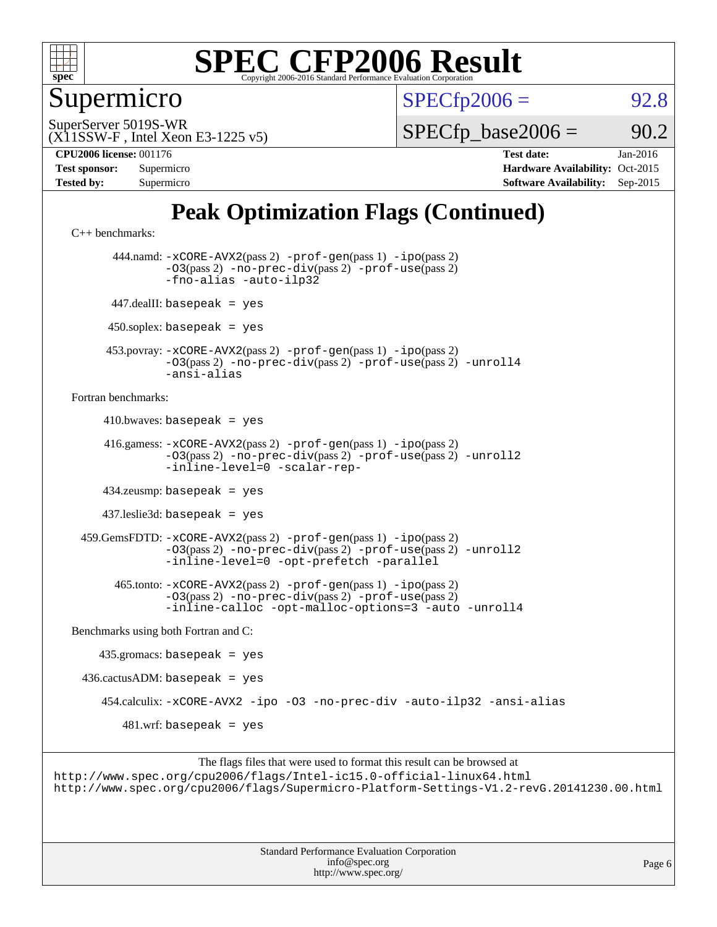

Supermicro

 $SPECTp2006 = 92.8$ 

(X11SSW-F , Intel Xeon E3-1225 v5) SuperServer 5019S-WR

 $SPECTp\_base2006 = 90.2$ 

**[CPU2006 license:](http://www.spec.org/auto/cpu2006/Docs/result-fields.html#CPU2006license)** 001176 **[Test date:](http://www.spec.org/auto/cpu2006/Docs/result-fields.html#Testdate)** Jan-2016

| <b>Test sponsor:</b> | Supermicro |
|----------------------|------------|
| <b>Tested by:</b>    | Supermicro |

**[Hardware Availability:](http://www.spec.org/auto/cpu2006/Docs/result-fields.html#HardwareAvailability)** Oct-2015 **[Software Availability:](http://www.spec.org/auto/cpu2006/Docs/result-fields.html#SoftwareAvailability)** Sep-2015

### **[Peak Optimization Flags \(Continued\)](http://www.spec.org/auto/cpu2006/Docs/result-fields.html#PeakOptimizationFlags)**

[C++ benchmarks:](http://www.spec.org/auto/cpu2006/Docs/result-fields.html#CXXbenchmarks)

 444.namd: [-xCORE-AVX2](http://www.spec.org/cpu2006/results/res2016q1/cpu2006-20160106-38572.flags.html#user_peakPASS2_CXXFLAGSPASS2_LDFLAGS444_namd_f-xAVX2_5f5fc0cbe2c9f62c816d3e45806c70d7)(pass 2) [-prof-gen](http://www.spec.org/cpu2006/results/res2016q1/cpu2006-20160106-38572.flags.html#user_peakPASS1_CXXFLAGSPASS1_LDFLAGS444_namd_prof_gen_e43856698f6ca7b7e442dfd80e94a8fc)(pass 1) [-ipo](http://www.spec.org/cpu2006/results/res2016q1/cpu2006-20160106-38572.flags.html#user_peakPASS2_CXXFLAGSPASS2_LDFLAGS444_namd_f-ipo)(pass 2) [-O3](http://www.spec.org/cpu2006/results/res2016q1/cpu2006-20160106-38572.flags.html#user_peakPASS2_CXXFLAGSPASS2_LDFLAGS444_namd_f-O3)(pass 2) [-no-prec-div](http://www.spec.org/cpu2006/results/res2016q1/cpu2006-20160106-38572.flags.html#user_peakPASS2_CXXFLAGSPASS2_LDFLAGS444_namd_f-no-prec-div)(pass 2) [-prof-use](http://www.spec.org/cpu2006/results/res2016q1/cpu2006-20160106-38572.flags.html#user_peakPASS2_CXXFLAGSPASS2_LDFLAGS444_namd_prof_use_bccf7792157ff70d64e32fe3e1250b55)(pass 2) [-fno-alias](http://www.spec.org/cpu2006/results/res2016q1/cpu2006-20160106-38572.flags.html#user_peakCXXOPTIMIZEOPTIMIZE444_namd_f-no-alias_694e77f6c5a51e658e82ccff53a9e63a) [-auto-ilp32](http://www.spec.org/cpu2006/results/res2016q1/cpu2006-20160106-38572.flags.html#user_peakCXXOPTIMIZE444_namd_f-auto-ilp32) 447.dealII: basepeak = yes  $450$ .soplex: basepeak = yes 453.povray: [-xCORE-AVX2](http://www.spec.org/cpu2006/results/res2016q1/cpu2006-20160106-38572.flags.html#user_peakPASS2_CXXFLAGSPASS2_LDFLAGS453_povray_f-xAVX2_5f5fc0cbe2c9f62c816d3e45806c70d7)(pass 2) [-prof-gen](http://www.spec.org/cpu2006/results/res2016q1/cpu2006-20160106-38572.flags.html#user_peakPASS1_CXXFLAGSPASS1_LDFLAGS453_povray_prof_gen_e43856698f6ca7b7e442dfd80e94a8fc)(pass 1) [-ipo](http://www.spec.org/cpu2006/results/res2016q1/cpu2006-20160106-38572.flags.html#user_peakPASS2_CXXFLAGSPASS2_LDFLAGS453_povray_f-ipo)(pass 2) [-O3](http://www.spec.org/cpu2006/results/res2016q1/cpu2006-20160106-38572.flags.html#user_peakPASS2_CXXFLAGSPASS2_LDFLAGS453_povray_f-O3)(pass 2) [-no-prec-div](http://www.spec.org/cpu2006/results/res2016q1/cpu2006-20160106-38572.flags.html#user_peakPASS2_CXXFLAGSPASS2_LDFLAGS453_povray_f-no-prec-div)(pass 2) [-prof-use](http://www.spec.org/cpu2006/results/res2016q1/cpu2006-20160106-38572.flags.html#user_peakPASS2_CXXFLAGSPASS2_LDFLAGS453_povray_prof_use_bccf7792157ff70d64e32fe3e1250b55)(pass 2) [-unroll4](http://www.spec.org/cpu2006/results/res2016q1/cpu2006-20160106-38572.flags.html#user_peakCXXOPTIMIZE453_povray_f-unroll_4e5e4ed65b7fd20bdcd365bec371b81f) [-ansi-alias](http://www.spec.org/cpu2006/results/res2016q1/cpu2006-20160106-38572.flags.html#user_peakCXXOPTIMIZE453_povray_f-ansi-alias) [Fortran benchmarks](http://www.spec.org/auto/cpu2006/Docs/result-fields.html#Fortranbenchmarks):  $410.bwaves: basepeak = yes$  416.gamess: [-xCORE-AVX2](http://www.spec.org/cpu2006/results/res2016q1/cpu2006-20160106-38572.flags.html#user_peakPASS2_FFLAGSPASS2_LDFLAGS416_gamess_f-xAVX2_5f5fc0cbe2c9f62c816d3e45806c70d7)(pass 2) [-prof-gen](http://www.spec.org/cpu2006/results/res2016q1/cpu2006-20160106-38572.flags.html#user_peakPASS1_FFLAGSPASS1_LDFLAGS416_gamess_prof_gen_e43856698f6ca7b7e442dfd80e94a8fc)(pass 1) [-ipo](http://www.spec.org/cpu2006/results/res2016q1/cpu2006-20160106-38572.flags.html#user_peakPASS2_FFLAGSPASS2_LDFLAGS416_gamess_f-ipo)(pass 2) [-O3](http://www.spec.org/cpu2006/results/res2016q1/cpu2006-20160106-38572.flags.html#user_peakPASS2_FFLAGSPASS2_LDFLAGS416_gamess_f-O3)(pass 2) [-no-prec-div](http://www.spec.org/cpu2006/results/res2016q1/cpu2006-20160106-38572.flags.html#user_peakPASS2_FFLAGSPASS2_LDFLAGS416_gamess_f-no-prec-div)(pass 2) [-prof-use](http://www.spec.org/cpu2006/results/res2016q1/cpu2006-20160106-38572.flags.html#user_peakPASS2_FFLAGSPASS2_LDFLAGS416_gamess_prof_use_bccf7792157ff70d64e32fe3e1250b55)(pass 2) [-unroll2](http://www.spec.org/cpu2006/results/res2016q1/cpu2006-20160106-38572.flags.html#user_peakOPTIMIZE416_gamess_f-unroll_784dae83bebfb236979b41d2422d7ec2) [-inline-level=0](http://www.spec.org/cpu2006/results/res2016q1/cpu2006-20160106-38572.flags.html#user_peakOPTIMIZE416_gamess_f-inline-level_318d07a09274ad25e8d15dbfaa68ba50) [-scalar-rep-](http://www.spec.org/cpu2006/results/res2016q1/cpu2006-20160106-38572.flags.html#user_peakOPTIMIZE416_gamess_f-disablescalarrep_abbcad04450fb118e4809c81d83c8a1d) 434.zeusmp: basepeak = yes 437.leslie3d: basepeak = yes 459.GemsFDTD: [-xCORE-AVX2](http://www.spec.org/cpu2006/results/res2016q1/cpu2006-20160106-38572.flags.html#user_peakPASS2_FFLAGSPASS2_LDFLAGS459_GemsFDTD_f-xAVX2_5f5fc0cbe2c9f62c816d3e45806c70d7)(pass 2) [-prof-gen](http://www.spec.org/cpu2006/results/res2016q1/cpu2006-20160106-38572.flags.html#user_peakPASS1_FFLAGSPASS1_LDFLAGS459_GemsFDTD_prof_gen_e43856698f6ca7b7e442dfd80e94a8fc)(pass 1) [-ipo](http://www.spec.org/cpu2006/results/res2016q1/cpu2006-20160106-38572.flags.html#user_peakPASS2_FFLAGSPASS2_LDFLAGS459_GemsFDTD_f-ipo)(pass 2) [-O3](http://www.spec.org/cpu2006/results/res2016q1/cpu2006-20160106-38572.flags.html#user_peakPASS2_FFLAGSPASS2_LDFLAGS459_GemsFDTD_f-O3)(pass 2) [-no-prec-div](http://www.spec.org/cpu2006/results/res2016q1/cpu2006-20160106-38572.flags.html#user_peakPASS2_FFLAGSPASS2_LDFLAGS459_GemsFDTD_f-no-prec-div)(pass 2) [-prof-use](http://www.spec.org/cpu2006/results/res2016q1/cpu2006-20160106-38572.flags.html#user_peakPASS2_FFLAGSPASS2_LDFLAGS459_GemsFDTD_prof_use_bccf7792157ff70d64e32fe3e1250b55)(pass 2) [-unroll2](http://www.spec.org/cpu2006/results/res2016q1/cpu2006-20160106-38572.flags.html#user_peakOPTIMIZE459_GemsFDTD_f-unroll_784dae83bebfb236979b41d2422d7ec2) [-inline-level=0](http://www.spec.org/cpu2006/results/res2016q1/cpu2006-20160106-38572.flags.html#user_peakOPTIMIZE459_GemsFDTD_f-inline-level_318d07a09274ad25e8d15dbfaa68ba50) [-opt-prefetch](http://www.spec.org/cpu2006/results/res2016q1/cpu2006-20160106-38572.flags.html#user_peakOPTIMIZE459_GemsFDTD_f-opt-prefetch) [-parallel](http://www.spec.org/cpu2006/results/res2016q1/cpu2006-20160106-38572.flags.html#user_peakOPTIMIZE459_GemsFDTD_f-parallel) 465.tonto: [-xCORE-AVX2](http://www.spec.org/cpu2006/results/res2016q1/cpu2006-20160106-38572.flags.html#user_peakPASS2_FFLAGSPASS2_LDFLAGS465_tonto_f-xAVX2_5f5fc0cbe2c9f62c816d3e45806c70d7)(pass 2) [-prof-gen](http://www.spec.org/cpu2006/results/res2016q1/cpu2006-20160106-38572.flags.html#user_peakPASS1_FFLAGSPASS1_LDFLAGS465_tonto_prof_gen_e43856698f6ca7b7e442dfd80e94a8fc)(pass 1) [-ipo](http://www.spec.org/cpu2006/results/res2016q1/cpu2006-20160106-38572.flags.html#user_peakPASS2_FFLAGSPASS2_LDFLAGS465_tonto_f-ipo)(pass 2) [-O3](http://www.spec.org/cpu2006/results/res2016q1/cpu2006-20160106-38572.flags.html#user_peakPASS2_FFLAGSPASS2_LDFLAGS465_tonto_f-O3)(pass 2) [-no-prec-div](http://www.spec.org/cpu2006/results/res2016q1/cpu2006-20160106-38572.flags.html#user_peakPASS2_FFLAGSPASS2_LDFLAGS465_tonto_f-no-prec-div)(pass 2) [-prof-use](http://www.spec.org/cpu2006/results/res2016q1/cpu2006-20160106-38572.flags.html#user_peakPASS2_FFLAGSPASS2_LDFLAGS465_tonto_prof_use_bccf7792157ff70d64e32fe3e1250b55)(pass 2) [-inline-calloc](http://www.spec.org/cpu2006/results/res2016q1/cpu2006-20160106-38572.flags.html#user_peakOPTIMIZE465_tonto_f-inline-calloc) [-opt-malloc-options=3](http://www.spec.org/cpu2006/results/res2016q1/cpu2006-20160106-38572.flags.html#user_peakOPTIMIZE465_tonto_f-opt-malloc-options_13ab9b803cf986b4ee62f0a5998c2238) [-auto](http://www.spec.org/cpu2006/results/res2016q1/cpu2006-20160106-38572.flags.html#user_peakOPTIMIZE465_tonto_f-auto) [-unroll4](http://www.spec.org/cpu2006/results/res2016q1/cpu2006-20160106-38572.flags.html#user_peakOPTIMIZE465_tonto_f-unroll_4e5e4ed65b7fd20bdcd365bec371b81f) [Benchmarks using both Fortran and C](http://www.spec.org/auto/cpu2006/Docs/result-fields.html#BenchmarksusingbothFortranandC): 435.gromacs: basepeak = yes  $436.cactusADM:basepeak = yes$  454.calculix: [-xCORE-AVX2](http://www.spec.org/cpu2006/results/res2016q1/cpu2006-20160106-38572.flags.html#user_peakOPTIMIZE454_calculix_f-xAVX2_5f5fc0cbe2c9f62c816d3e45806c70d7) [-ipo](http://www.spec.org/cpu2006/results/res2016q1/cpu2006-20160106-38572.flags.html#user_peakOPTIMIZE454_calculix_f-ipo) [-O3](http://www.spec.org/cpu2006/results/res2016q1/cpu2006-20160106-38572.flags.html#user_peakOPTIMIZE454_calculix_f-O3) [-no-prec-div](http://www.spec.org/cpu2006/results/res2016q1/cpu2006-20160106-38572.flags.html#user_peakOPTIMIZE454_calculix_f-no-prec-div) [-auto-ilp32](http://www.spec.org/cpu2006/results/res2016q1/cpu2006-20160106-38572.flags.html#user_peakCOPTIMIZE454_calculix_f-auto-ilp32) [-ansi-alias](http://www.spec.org/cpu2006/results/res2016q1/cpu2006-20160106-38572.flags.html#user_peakCOPTIMIZE454_calculix_f-ansi-alias)  $481.$ wrf: basepeak = yes

The flags files that were used to format this result can be browsed at <http://www.spec.org/cpu2006/flags/Intel-ic15.0-official-linux64.html> <http://www.spec.org/cpu2006/flags/Supermicro-Platform-Settings-V1.2-revG.20141230.00.html>

> Standard Performance Evaluation Corporation [info@spec.org](mailto:info@spec.org) <http://www.spec.org/>